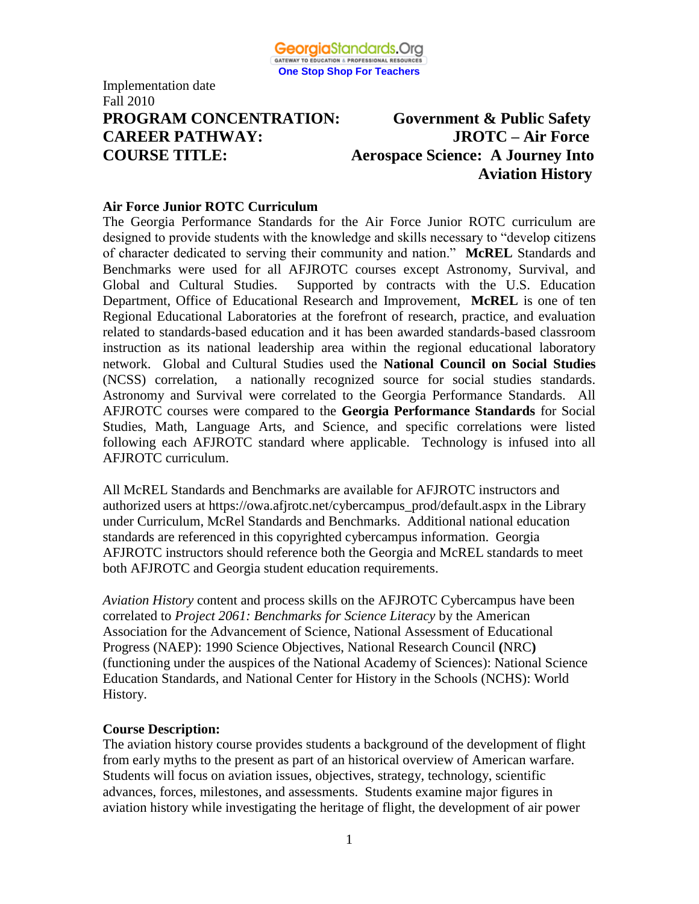

**PROGRAM CONCENTRATION: Government & Public Safety CAREER PATHWAY: JROTC – Air Force COURSE TITLE: Aerospace Science: A Journey Into Aviation History**

#### **Air Force Junior ROTC Curriculum**

The Georgia Performance Standards for the Air Force Junior ROTC curriculum are designed to provide students with the knowledge and skills necessary to "develop citizens of character dedicated to serving their community and nation." **McREL** Standards and Benchmarks were used for all AFJROTC courses except Astronomy, Survival, and Global and Cultural Studies. Supported by contracts with the U.S. Education Department, Office of Educational Research and Improvement, **McREL** is one of ten Regional Educational Laboratories at the forefront of research, practice, and evaluation related to standards-based education and it has been awarded standards-based classroom instruction as its national leadership area within the regional educational laboratory network. Global and Cultural Studies used the **National Council on Social Studies** (NCSS) correlation, a nationally recognized source for social studies standards. Astronomy and Survival were correlated to the Georgia Performance Standards. All AFJROTC courses were compared to the **Georgia Performance Standards** for Social Studies, Math, Language Arts, and Science, and specific correlations were listed following each AFJROTC standard where applicable. Technology is infused into all AFJROTC curriculum.

All McREL Standards and Benchmarks are available for AFJROTC instructors and authorized users at https://owa.afjrotc.net/cybercampus\_prod/default.aspx in the Library under Curriculum, McRel Standards and Benchmarks. Additional national education standards are referenced in this copyrighted cybercampus information. Georgia AFJROTC instructors should reference both the Georgia and McREL standards to meet both AFJROTC and Georgia student education requirements.

*Aviation History* content and process skills on the AFJROTC Cybercampus have been correlated to *Project 2061: Benchmarks for Science Literacy* by the American Association for the Advancement of Science, National Assessment of Educational Progress (NAEP): 1990 Science Objectives, National Research Council **(**NRC**)** (functioning under the auspices of the National Academy of Sciences): National Science Education Standards, and National Center for History in the Schools (NCHS): World History.

#### **Course Description:**

The aviation history course provides students a background of the development of flight from early myths to the present as part of an historical overview of American warfare. Students will focus on aviation issues, objectives, strategy, technology, scientific advances, forces, milestones, and assessments. Students examine major figures in aviation history while investigating the heritage of flight, the development of air power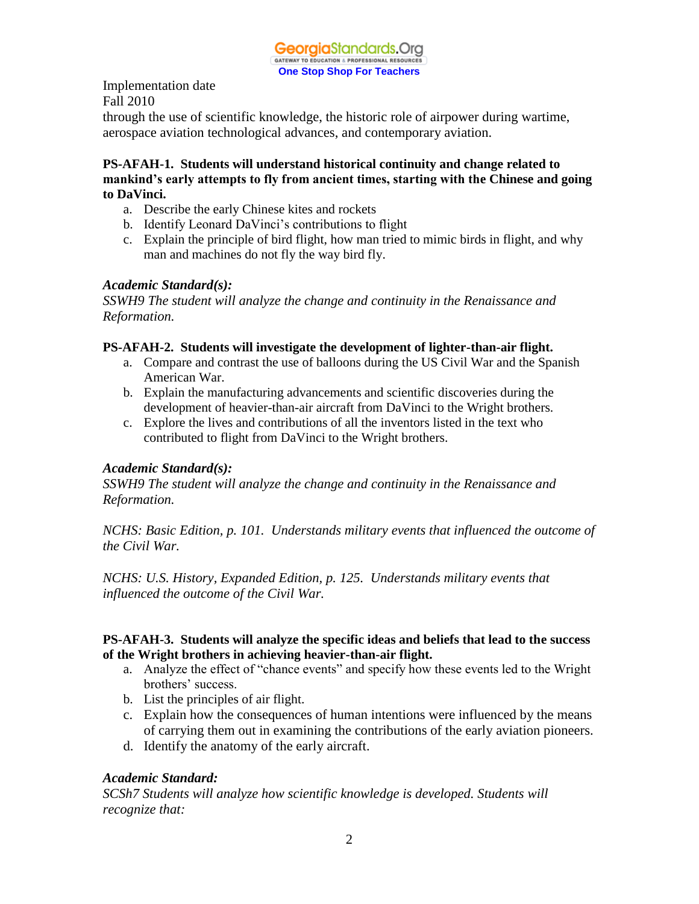through the use of scientific knowledge, the historic role of airpower during wartime, aerospace aviation technological advances, and contemporary aviation.

#### **PS-AFAH-1. Students will understand historical continuity and change related to mankind's early attempts to fly from ancient times, starting with the Chinese and going to DaVinci.**

- a. Describe the early Chinese kites and rockets
- b. Identify Leonard DaVinci's contributions to flight
- c. Explain the principle of bird flight, how man tried to mimic birds in flight, and why man and machines do not fly the way bird fly.

#### *Academic Standard(s):*

*SSWH9 The student will analyze the change and continuity in the Renaissance and Reformation.*

#### **PS-AFAH-2. Students will investigate the development of lighter-than-air flight.**

- a. Compare and contrast the use of balloons during the US Civil War and the Spanish American War.
- b. Explain the manufacturing advancements and scientific discoveries during the development of heavier-than-air aircraft from DaVinci to the Wright brothers.
- c. Explore the lives and contributions of all the inventors listed in the text who contributed to flight from DaVinci to the Wright brothers.

#### *Academic Standard(s):*

*SSWH9 The student will analyze the change and continuity in the Renaissance and Reformation.*

*NCHS: Basic Edition, p. 101. Understands military events that influenced the outcome of the Civil War.*

*NCHS: U.S. History, Expanded Edition, p. 125. Understands military events that influenced the outcome of the Civil War.*

#### **PS-AFAH-3. Students will analyze the specific ideas and beliefs that lead to the success of the Wright brothers in achieving heavier-than-air flight.**

- a. Analyze the effect of "chance events" and specify how these events led to the Wright brothers' success.
- b. List the principles of air flight.
- c. Explain how the consequences of human intentions were influenced by the means of carrying them out in examining the contributions of the early aviation pioneers.
- d. Identify the anatomy of the early aircraft.

#### *Academic Standard:*

*SCSh7 Students will analyze how scientific knowledge is developed. Students will recognize that:*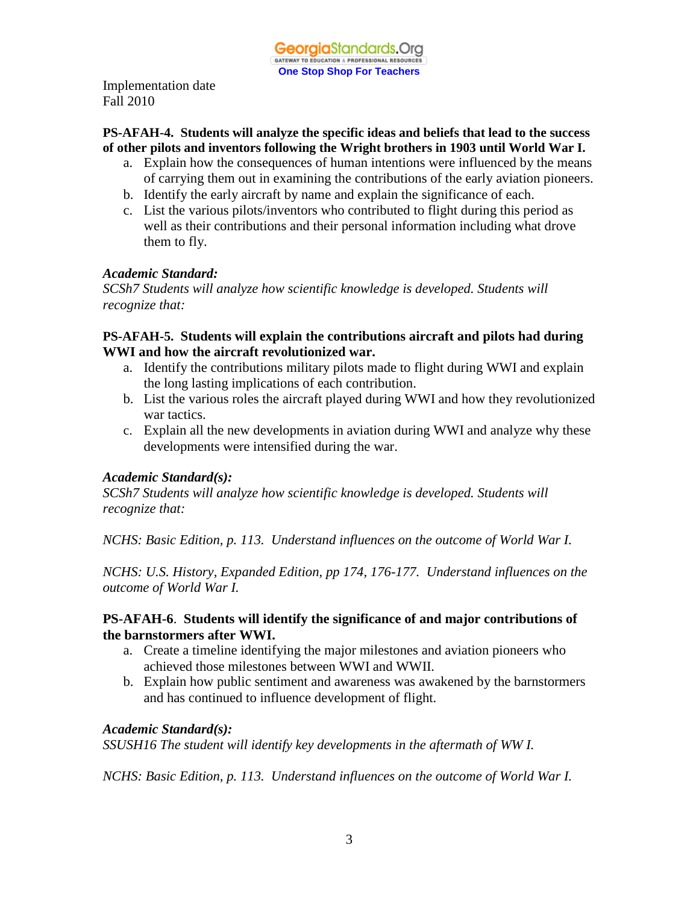#### **PS-AFAH-4. Students will analyze the specific ideas and beliefs that lead to the success of other pilots and inventors following the Wright brothers in 1903 until World War I.**

- a. Explain how the consequences of human intentions were influenced by the means of carrying them out in examining the contributions of the early aviation pioneers.
- b. Identify the early aircraft by name and explain the significance of each.
- c. List the various pilots/inventors who contributed to flight during this period as well as their contributions and their personal information including what drove them to fly.

#### *Academic Standard:*

*SCSh7 Students will analyze how scientific knowledge is developed. Students will recognize that:*

#### **PS-AFAH-5. Students will explain the contributions aircraft and pilots had during WWI and how the aircraft revolutionized war.**

- a. Identify the contributions military pilots made to flight during WWI and explain the long lasting implications of each contribution.
- b. List the various roles the aircraft played during WWI and how they revolutionized war tactics.
- c. Explain all the new developments in aviation during WWI and analyze why these developments were intensified during the war.

#### *Academic Standard(s):*

*SCSh7 Students will analyze how scientific knowledge is developed. Students will recognize that:*

*NCHS: Basic Edition, p. 113. Understand influences on the outcome of World War I.*

*NCHS: U.S. History, Expanded Edition, pp 174, 176-177. Understand influences on the outcome of World War I.*

#### **PS-AFAH-6**. **Students will identify the significance of and major contributions of the barnstormers after WWI.**

- a. Create a timeline identifying the major milestones and aviation pioneers who achieved those milestones between WWI and WWII.
- b. Explain how public sentiment and awareness was awakened by the barnstormers and has continued to influence development of flight.

#### *Academic Standard(s):*

*SSUSH16 The student will identify key developments in the aftermath of WW I.*

*NCHS: Basic Edition, p. 113. Understand influences on the outcome of World War I.*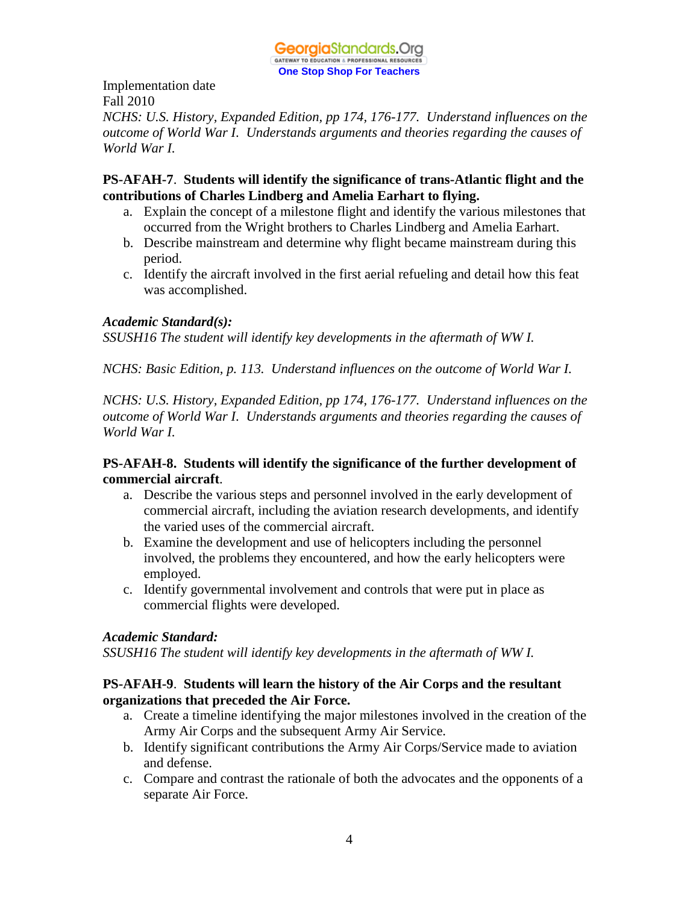

*NCHS: U.S. History, Expanded Edition, pp 174, 176-177. Understand influences on the outcome of World War I*. *Understands arguments and theories regarding the causes of World War I.*

#### **PS-AFAH-7**. **Students will identify the significance of trans-Atlantic flight and the contributions of Charles Lindberg and Amelia Earhart to flying.**

- a. Explain the concept of a milestone flight and identify the various milestones that occurred from the Wright brothers to Charles Lindberg and Amelia Earhart.
- b. Describe mainstream and determine why flight became mainstream during this period.
- c. Identify the aircraft involved in the first aerial refueling and detail how this feat was accomplished.

#### *Academic Standard(s):*

*SSUSH16 The student will identify key developments in the aftermath of WW I.*

*NCHS: Basic Edition, p. 113. Understand influences on the outcome of World War I.*

*NCHS: U.S. History, Expanded Edition, pp 174, 176-177. Understand influences on the outcome of World War I*. *Understands arguments and theories regarding the causes of World War I.*

#### **PS-AFAH-8. Students will identify the significance of the further development of commercial aircraft**.

- a. Describe the various steps and personnel involved in the early development of commercial aircraft, including the aviation research developments, and identify the varied uses of the commercial aircraft.
- b. Examine the development and use of helicopters including the personnel involved, the problems they encountered, and how the early helicopters were employed.
- c. Identify governmental involvement and controls that were put in place as commercial flights were developed.

#### *Academic Standard:*

*SSUSH16 The student will identify key developments in the aftermath of WW I.*

#### **PS-AFAH-9**. **Students will learn the history of the Air Corps and the resultant organizations that preceded the Air Force.**

- a. Create a timeline identifying the major milestones involved in the creation of the Army Air Corps and the subsequent Army Air Service.
- b. Identify significant contributions the Army Air Corps/Service made to aviation and defense.
- c. Compare and contrast the rationale of both the advocates and the opponents of a separate Air Force.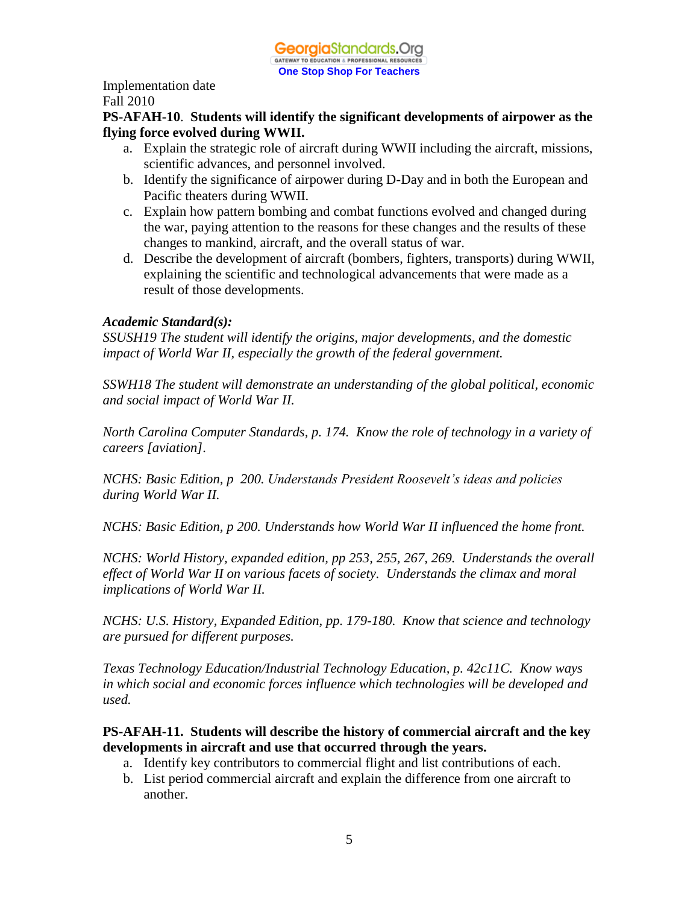**PS-AFAH-10**. **Students will identify the significant developments of airpower as the flying force evolved during WWII.**

- a. Explain the strategic role of aircraft during WWII including the aircraft, missions, scientific advances, and personnel involved.
- b. Identify the significance of airpower during D-Day and in both the European and Pacific theaters during WWII.
- c. Explain how pattern bombing and combat functions evolved and changed during the war, paying attention to the reasons for these changes and the results of these changes to mankind, aircraft, and the overall status of war.
- d. Describe the development of aircraft (bombers, fighters, transports) during WWII, explaining the scientific and technological advancements that were made as a result of those developments.

#### *Academic Standard(s):*

*SSUSH19 The student will identify the origins, major developments, and the domestic impact of World War II, especially the growth of the federal government.*

*SSWH18 The student will demonstrate an understanding of the global political, economic and social impact of World War II.*

*North Carolina Computer Standards, p. 174. Know the role of technology in a variety of careers [aviation].*

*NCHS: Basic Edition, p 200. Understands President Roosevelt's ideas and policies during World War II.*

*NCHS: Basic Edition, p 200. Understands how World War II influenced the home front.*

*NCHS: World History, expanded edition, pp 253, 255, 267, 269. Understands the overall effect of World War II on various facets of society. Understands the climax and moral implications of World War II.*

*NCHS: U.S. History, Expanded Edition, pp. 179-180. Know that science and technology are pursued for different purposes.*

*Texas Technology Education/Industrial Technology Education, p. 42c11C. Know ways in which social and economic forces influence which technologies will be developed and used.*

#### **PS-AFAH-11. Students will describe the history of commercial aircraft and the key developments in aircraft and use that occurred through the years.**

- a. Identify key contributors to commercial flight and list contributions of each.
- b. List period commercial aircraft and explain the difference from one aircraft to another.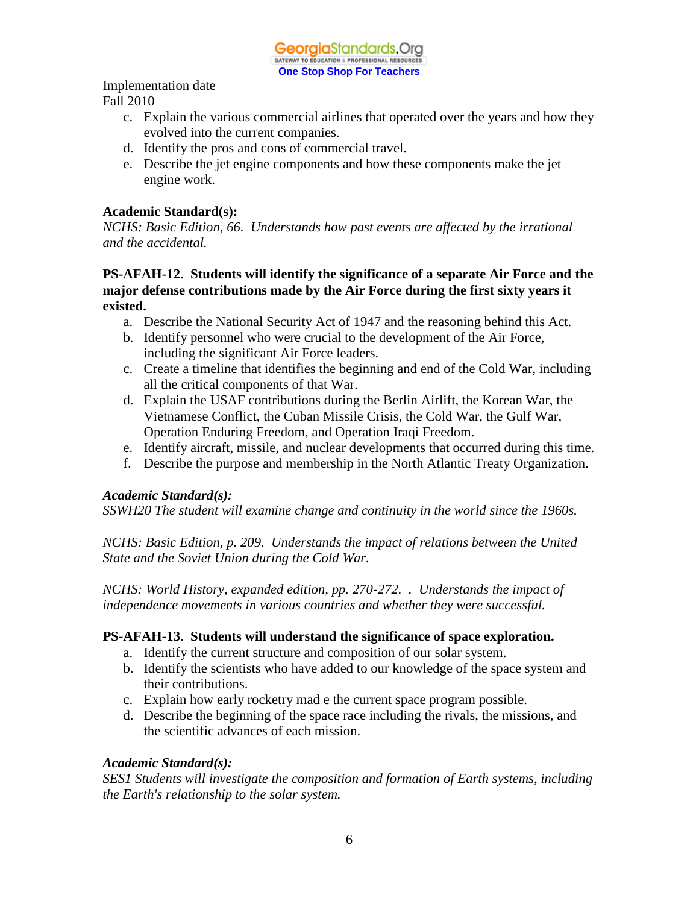Implementation date

Fall 2010

- c. Explain the various commercial airlines that operated over the years and how they evolved into the current companies.
- d. Identify the pros and cons of commercial travel.
- e. Describe the jet engine components and how these components make the jet engine work.

#### **Academic Standard(s):**

*NCHS: Basic Edition, 66. Understands how past events are affected by the irrational and the accidental.*

#### **PS-AFAH-12**. **Students will identify the significance of a separate Air Force and the major defense contributions made by the Air Force during the first sixty years it existed.**

- a. Describe the National Security Act of 1947 and the reasoning behind this Act.
- b. Identify personnel who were crucial to the development of the Air Force, including the significant Air Force leaders.
- c. Create a timeline that identifies the beginning and end of the Cold War, including all the critical components of that War.
- d. Explain the USAF contributions during the Berlin Airlift, the Korean War, the Vietnamese Conflict, the Cuban Missile Crisis, the Cold War, the Gulf War, Operation Enduring Freedom, and Operation Iraqi Freedom.
- e. Identify aircraft, missile, and nuclear developments that occurred during this time.
- f. Describe the purpose and membership in the North Atlantic Treaty Organization.

#### *Academic Standard(s):*

*SSWH20 The student will examine change and continuity in the world since the 1960s.*

*NCHS: Basic Edition, p. 209. Understands the impact of relations between the United State and the Soviet Union during the Cold War.*

*NCHS: World History, expanded edition, pp. 270-272. . Understands the impact of independence movements in various countries and whether they were successful.*

#### **PS-AFAH-13**. **Students will understand the significance of space exploration.**

- a. Identify the current structure and composition of our solar system.
- b. Identify the scientists who have added to our knowledge of the space system and their contributions.
- c. Explain how early rocketry mad e the current space program possible.
- d. Describe the beginning of the space race including the rivals, the missions, and the scientific advances of each mission.

#### *Academic Standard(s):*

*SES1 Students will investigate the composition and formation of Earth systems, including the Earth's relationship to the solar system.*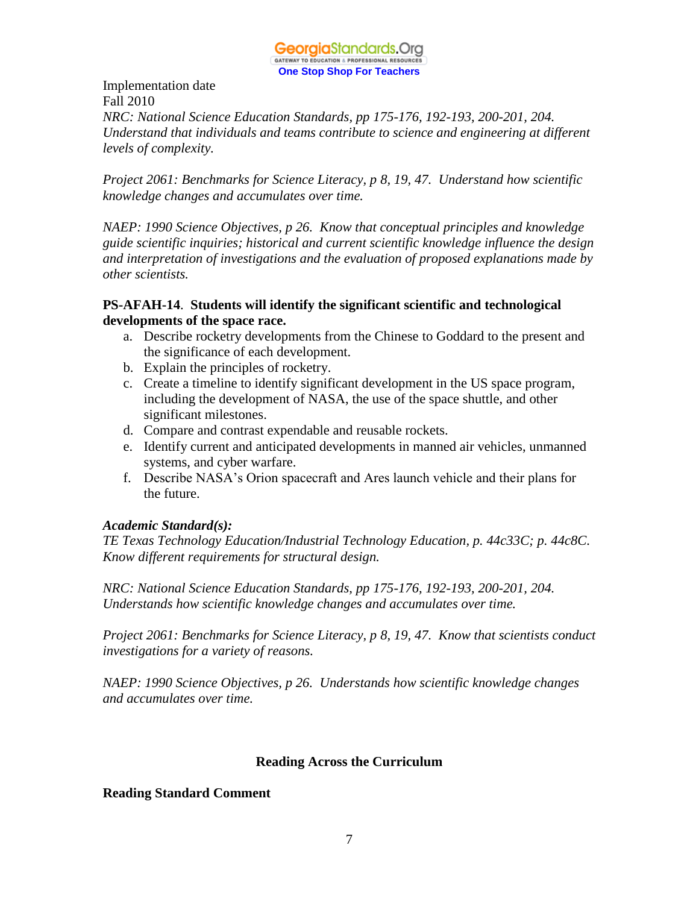

*NRC: National Science Education Standards, pp 175-176, 192-193, 200-201, 204. Understand that individuals and teams contribute to science and engineering at different levels of complexity.*

*Project 2061: Benchmarks for Science Literacy, p 8, 19, 47. Understand how scientific knowledge changes and accumulates over time.*

*NAEP: 1990 Science Objectives, p 26. Know that conceptual principles and knowledge guide scientific inquiries; historical and current scientific knowledge influence the design and interpretation of investigations and the evaluation of proposed explanations made by other scientists.*

#### **PS-AFAH-14**. **Students will identify the significant scientific and technological developments of the space race.**

- a. Describe rocketry developments from the Chinese to Goddard to the present and the significance of each development.
- b. Explain the principles of rocketry.
- c. Create a timeline to identify significant development in the US space program, including the development of NASA, the use of the space shuttle, and other significant milestones.
- d. Compare and contrast expendable and reusable rockets.
- e. Identify current and anticipated developments in manned air vehicles, unmanned systems, and cyber warfare.
- f. Describe NASA's Orion spacecraft and Ares launch vehicle and their plans for the future.

#### *Academic Standard(s):*

*TE Texas Technology Education/Industrial Technology Education, p. 44c33C; p. 44c8C. Know different requirements for structural design.*

*NRC: National Science Education Standards, pp 175-176, 192-193, 200-201, 204. Understands how scientific knowledge changes and accumulates over time.*

*Project 2061: Benchmarks for Science Literacy, p 8, 19, 47. Know that scientists conduct investigations for a variety of reasons.*

*NAEP: 1990 Science Objectives, p 26. Understands how scientific knowledge changes and accumulates over time.*

#### **Reading Across the Curriculum**

#### **Reading Standard Comment**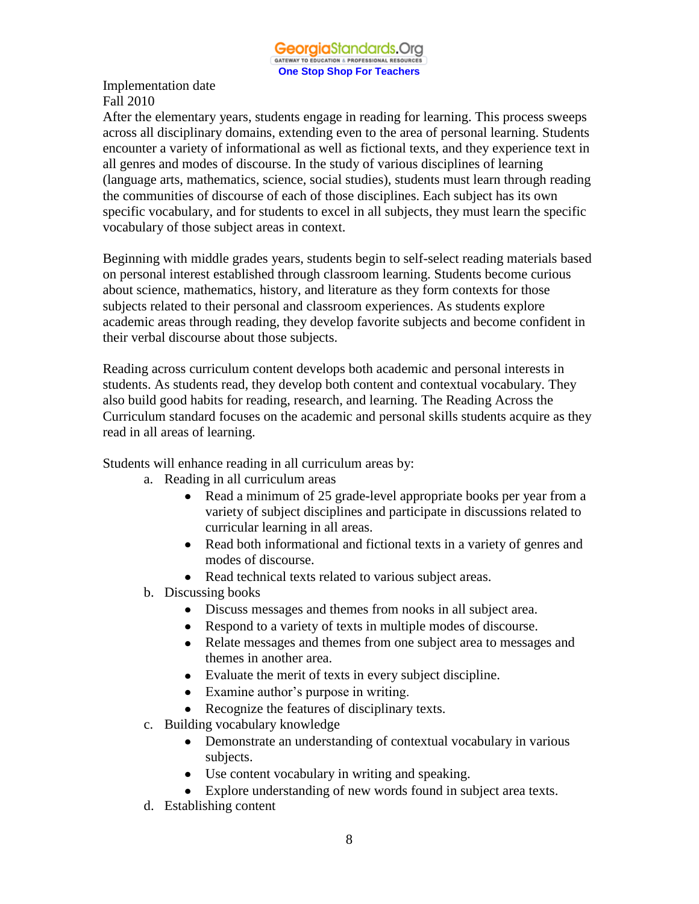After the elementary years, students engage in reading for learning. This process sweeps across all disciplinary domains, extending even to the area of personal learning. Students encounter a variety of informational as well as fictional texts, and they experience text in all genres and modes of discourse. In the study of various disciplines of learning (language arts, mathematics, science, social studies), students must learn through reading the communities of discourse of each of those disciplines. Each subject has its own specific vocabulary, and for students to excel in all subjects, they must learn the specific vocabulary of those subject areas in context.

Beginning with middle grades years, students begin to self-select reading materials based on personal interest established through classroom learning. Students become curious about science, mathematics, history, and literature as they form contexts for those subjects related to their personal and classroom experiences. As students explore academic areas through reading, they develop favorite subjects and become confident in their verbal discourse about those subjects.

Reading across curriculum content develops both academic and personal interests in students. As students read, they develop both content and contextual vocabulary. They also build good habits for reading, research, and learning. The Reading Across the Curriculum standard focuses on the academic and personal skills students acquire as they read in all areas of learning.

Students will enhance reading in all curriculum areas by:

- a. Reading in all curriculum areas
	- Read a minimum of 25 grade-level appropriate books per year from a variety of subject disciplines and participate in discussions related to curricular learning in all areas.
	- Read both informational and fictional texts in a variety of genres and modes of discourse.
	- Read technical texts related to various subject areas.
- b. Discussing books
	- Discuss messages and themes from nooks in all subject area.
	- Respond to a variety of texts in multiple modes of discourse.
	- Relate messages and themes from one subject area to messages and themes in another area.
	- Evaluate the merit of texts in every subject discipline.
	- Examine author's purpose in writing.
	- Recognize the features of disciplinary texts.
- c. Building vocabulary knowledge
	- Demonstrate an understanding of contextual vocabulary in various subjects.
	- Use content vocabulary in writing and speaking.
	- Explore understanding of new words found in subject area texts.
- d. Establishing content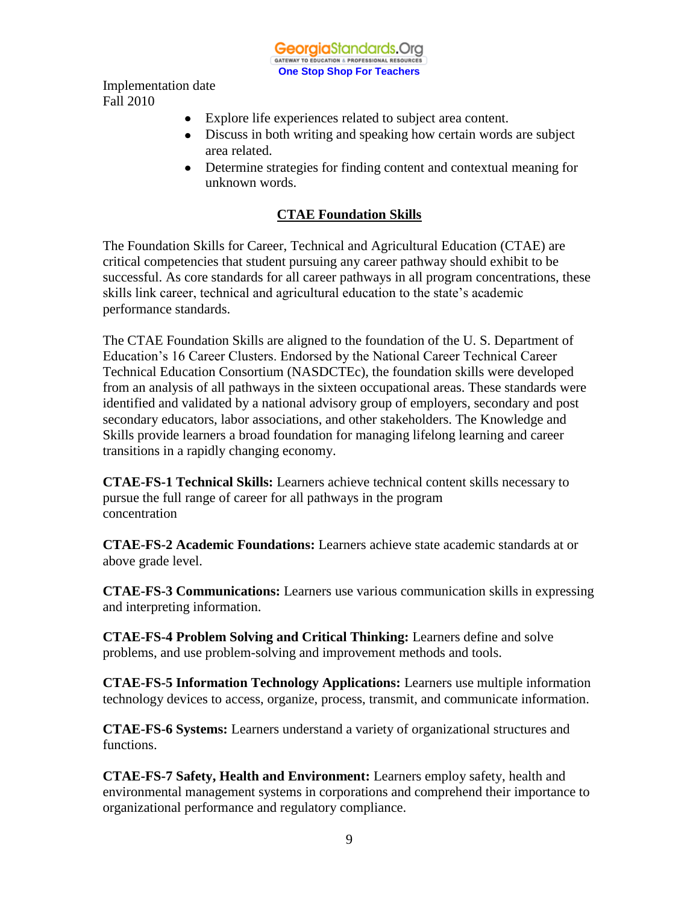GeorgiaStandards.Org GATEWAY TO EDUCATION & PROFESSIONAL RESOURCE **One Stop Shop For Teachers**

Implementation date Fall 2010

- Explore life experiences related to subject area content.
- Discuss in both writing and speaking how certain words are subject area related.
- Determine strategies for finding content and contextual meaning for unknown words.

#### **CTAE Foundation Skills**

The Foundation Skills for Career, Technical and Agricultural Education (CTAE) are critical competencies that student pursuing any career pathway should exhibit to be successful. As core standards for all career pathways in all program concentrations, these skills link career, technical and agricultural education to the state's academic performance standards.

The CTAE Foundation Skills are aligned to the foundation of the U. S. Department of Education's 16 Career Clusters. Endorsed by the National Career Technical Career Technical Education Consortium (NASDCTEc), the foundation skills were developed from an analysis of all pathways in the sixteen occupational areas. These standards were identified and validated by a national advisory group of employers, secondary and post secondary educators, labor associations, and other stakeholders. The Knowledge and Skills provide learners a broad foundation for managing lifelong learning and career transitions in a rapidly changing economy.

**CTAE-FS-1 Technical Skills:** Learners achieve technical content skills necessary to pursue the full range of career for all pathways in the program concentration

**CTAE-FS-2 Academic Foundations:** Learners achieve state academic standards at or above grade level.

**CTAE-FS-3 Communications:** Learners use various communication skills in expressing and interpreting information.

**CTAE-FS-4 Problem Solving and Critical Thinking:** Learners define and solve problems, and use problem-solving and improvement methods and tools.

**CTAE-FS-5 Information Technology Applications:** Learners use multiple information technology devices to access, organize, process, transmit, and communicate information.

**CTAE-FS-6 Systems:** Learners understand a variety of organizational structures and functions.

**CTAE-FS-7 Safety, Health and Environment:** Learners employ safety, health and environmental management systems in corporations and comprehend their importance to organizational performance and regulatory compliance.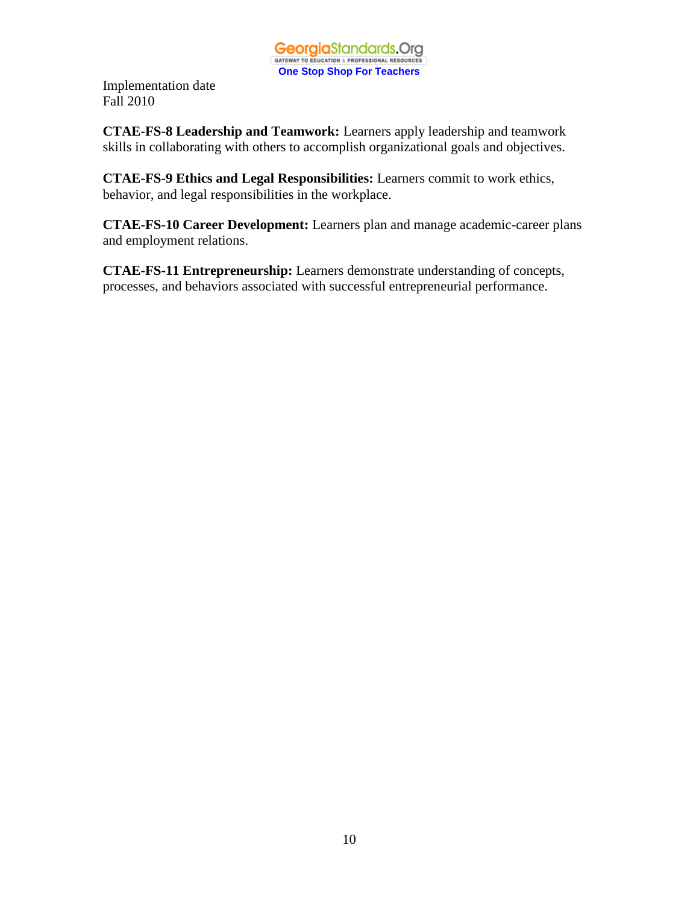

**CTAE-FS-8 Leadership and Teamwork:** Learners apply leadership and teamwork skills in collaborating with others to accomplish organizational goals and objectives.

**CTAE-FS-9 Ethics and Legal Responsibilities:** Learners commit to work ethics, behavior, and legal responsibilities in the workplace.

**CTAE-FS-10 Career Development:** Learners plan and manage academic-career plans and employment relations.

**CTAE-FS-11 Entrepreneurship:** Learners demonstrate understanding of concepts, processes, and behaviors associated with successful entrepreneurial performance.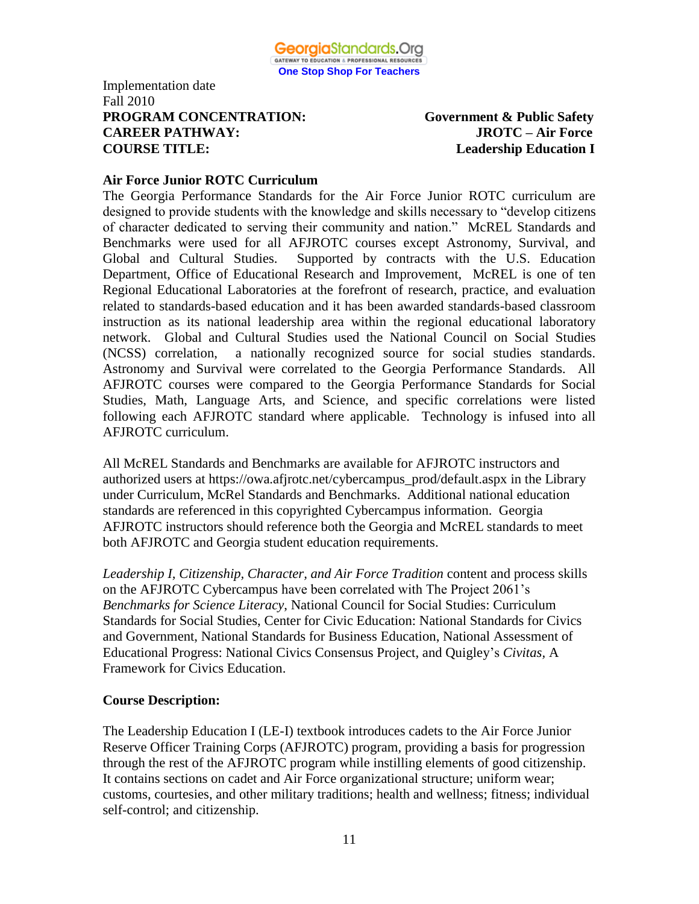

#### Implementation date Fall 2010 **PROGRAM CONCENTRATION: Government & Public Safety CAREER PATHWAY: JROTC – Air Force COURSE TITLE: Leadership Education I**

#### **Air Force Junior ROTC Curriculum**

The Georgia Performance Standards for the Air Force Junior ROTC curriculum are designed to provide students with the knowledge and skills necessary to "develop citizens of character dedicated to serving their community and nation." McREL Standards and Benchmarks were used for all AFJROTC courses except Astronomy, Survival, and Global and Cultural Studies. Supported by contracts with the U.S. Education Department, Office of Educational Research and Improvement, McREL is one of ten Regional Educational Laboratories at the forefront of research, practice, and evaluation related to standards-based education and it has been awarded standards-based classroom instruction as its national leadership area within the regional educational laboratory network. Global and Cultural Studies used the National Council on Social Studies (NCSS) correlation, a nationally recognized source for social studies standards. Astronomy and Survival were correlated to the Georgia Performance Standards. All AFJROTC courses were compared to the Georgia Performance Standards for Social Studies, Math, Language Arts, and Science, and specific correlations were listed following each AFJROTC standard where applicable. Technology is infused into all AFJROTC curriculum.

All McREL Standards and Benchmarks are available for AFJROTC instructors and authorized users at https://owa.afjrotc.net/cybercampus\_prod/default.aspx in the Library under Curriculum, McRel Standards and Benchmarks. Additional national education standards are referenced in this copyrighted Cybercampus information. Georgia AFJROTC instructors should reference both the Georgia and McREL standards to meet both AFJROTC and Georgia student education requirements.

*Leadership I, Citizenship, Character, and Air Force Tradition* content and process skills on the AFJROTC Cybercampus have been correlated with The Project 2061's *Benchmarks for Science Literacy*, National Council for Social Studies: Curriculum Standards for Social Studies, Center for Civic Education: National Standards for Civics and Government, National Standards for Business Education, National Assessment of Educational Progress: National Civics Consensus Project, and Quigley's *Civitas,* A Framework for Civics Education.

#### **Course Description:**

The Leadership Education I (LE-I) textbook introduces cadets to the Air Force Junior Reserve Officer Training Corps (AFJROTC) program, providing a basis for progression through the rest of the AFJROTC program while instilling elements of good citizenship. It contains sections on cadet and Air Force organizational structure; uniform wear; customs, courtesies, and other military traditions; health and wellness; fitness; individual self-control; and citizenship.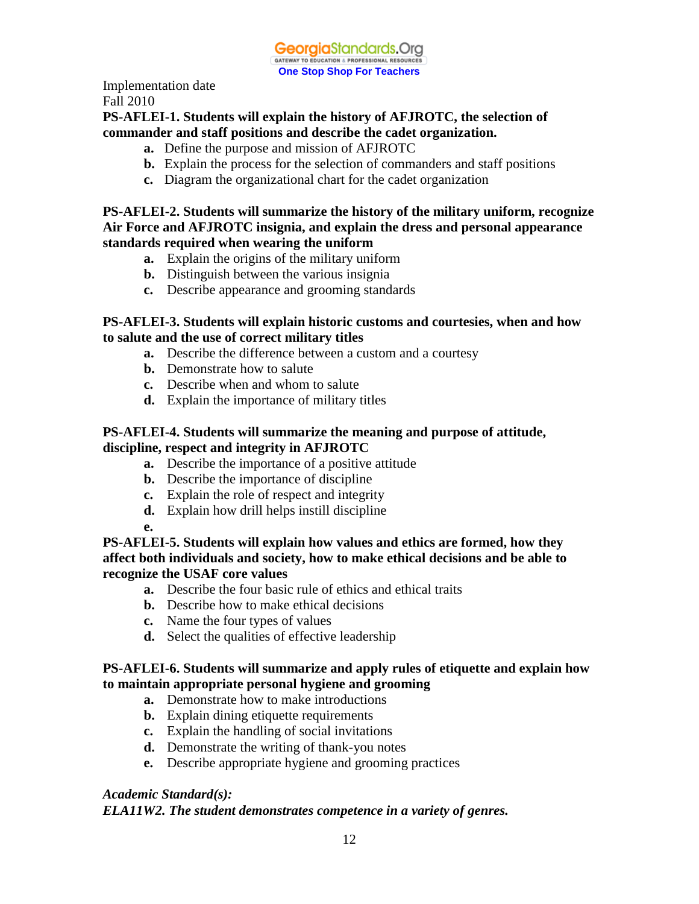#### **PS-AFLEI-1. Students will explain the history of AFJROTC, the selection of commander and staff positions and describe the cadet organization.**

- **a.** Define the purpose and mission of AFJROTC
- **b.** Explain the process for the selection of commanders and staff positions
- **c.** Diagram the organizational chart for the cadet organization

#### **PS-AFLEI-2. Students will summarize the history of the military uniform, recognize Air Force and AFJROTC insignia, and explain the dress and personal appearance standards required when wearing the uniform**

- **a.** Explain the origins of the military uniform
- **b.** Distinguish between the various insignia
- **c.** Describe appearance and grooming standards

#### **PS-AFLEI-3. Students will explain historic customs and courtesies, when and how to salute and the use of correct military titles**

- **a.** Describe the difference between a custom and a courtesy
- **b.** Demonstrate how to salute
- **c.** Describe when and whom to salute
- **d.** Explain the importance of military titles

#### **PS-AFLEI-4. Students will summarize the meaning and purpose of attitude, discipline, respect and integrity in AFJROTC**

- **a.** Describe the importance of a positive attitude
- **b.** Describe the importance of discipline
- **c.** Explain the role of respect and integrity
- **d.** Explain how drill helps instill discipline

**e.**

#### **PS-AFLEI-5. Students will explain how values and ethics are formed, how they affect both individuals and society, how to make ethical decisions and be able to recognize the USAF core values**

- **a.** Describe the four basic rule of ethics and ethical traits
- **b.** Describe how to make ethical decisions
- **c.** Name the four types of values
- **d.** Select the qualities of effective leadership

#### **PS-AFLEI-6. Students will summarize and apply rules of etiquette and explain how to maintain appropriate personal hygiene and grooming**

- **a.** Demonstrate how to make introductions
- **b.** Explain dining etiquette requirements
- **c.** Explain the handling of social invitations
- **d.** Demonstrate the writing of thank-you notes
- **e.** Describe appropriate hygiene and grooming practices

#### *Academic Standard(s):*

#### *ELA11W2. The student demonstrates competence in a variety of genres.*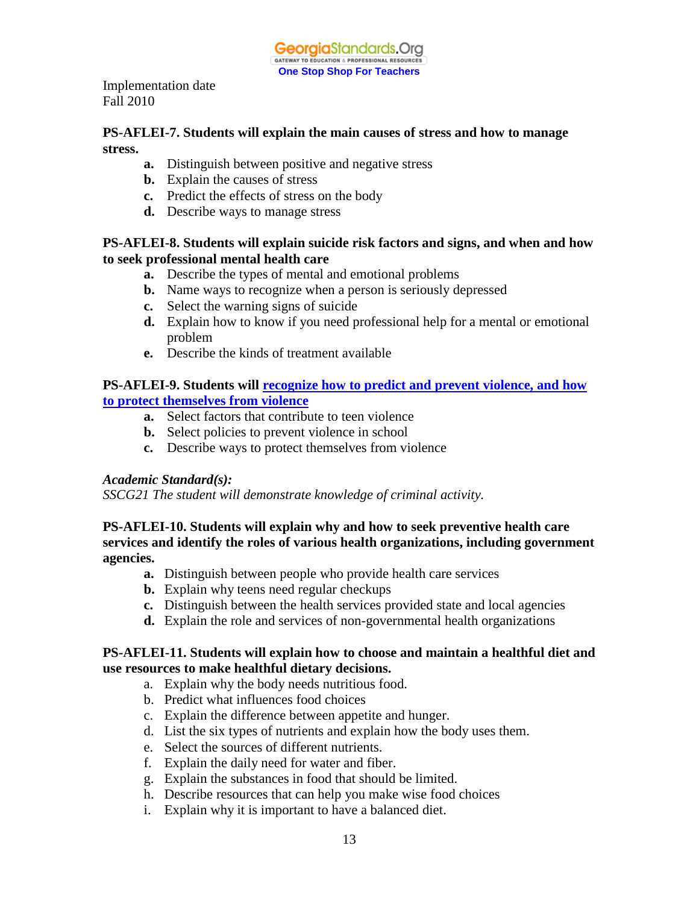#### **PS-AFLEI-7. Students will explain the main causes of stress and how to manage stress.**

- **a.** Distinguish between positive and negative stress
- **b.** Explain the causes of stress
- **c.** Predict the effects of stress on the body
- **d.** Describe ways to manage stress

#### **PS-AFLEI-8. Students will explain suicide risk factors and signs, and when and how to seek professional mental health care**

- **a.** Describe the types of mental and emotional problems
- **b.** Name ways to recognize when a person is seriously depressed
- **c.** Select the warning signs of suicide
- **d.** Explain how to know if you need professional help for a mental or emotional problem
- **e.** Describe the kinds of treatment available

#### **PS-AFLEI-9. Students will [recognize how to predict and prevent violence, and how](http://www.mcrel.org/compendium/Benchmark.asp?SubjectID=14&StandardID=8)  [to protect themselves from violence](http://www.mcrel.org/compendium/Benchmark.asp?SubjectID=14&StandardID=8)**

- **a.** Select factors that contribute to teen violence
- **b.** Select policies to prevent violence in school
- **c.** Describe ways to protect themselves from violence

#### *Academic Standard(s):*

*SSCG21 The student will demonstrate knowledge of criminal activity.* 

#### **PS-AFLEI-10. Students will explain why and how to seek preventive health care services and identify the roles of various health organizations, including government agencies.**

- **a.** Distinguish between people who provide health care services
- **b.** Explain why teens need regular checkups
- **c.** Distinguish between the health services provided state and local agencies
- **d.** Explain the role and services of non-governmental health organizations

#### **PS-AFLEI-11. Students will explain how to choose and maintain a healthful diet and use resources to make healthful dietary decisions.**

- a. Explain why the body needs nutritious food.
- b. Predict what influences food choices
- c. Explain the difference between appetite and hunger.
- d. List the six types of nutrients and explain how the body uses them.
- e. Select the sources of different nutrients.
- f. Explain the daily need for water and fiber.
- g. Explain the substances in food that should be limited.
- h. Describe resources that can help you make wise food choices
- i. Explain why it is important to have a balanced diet.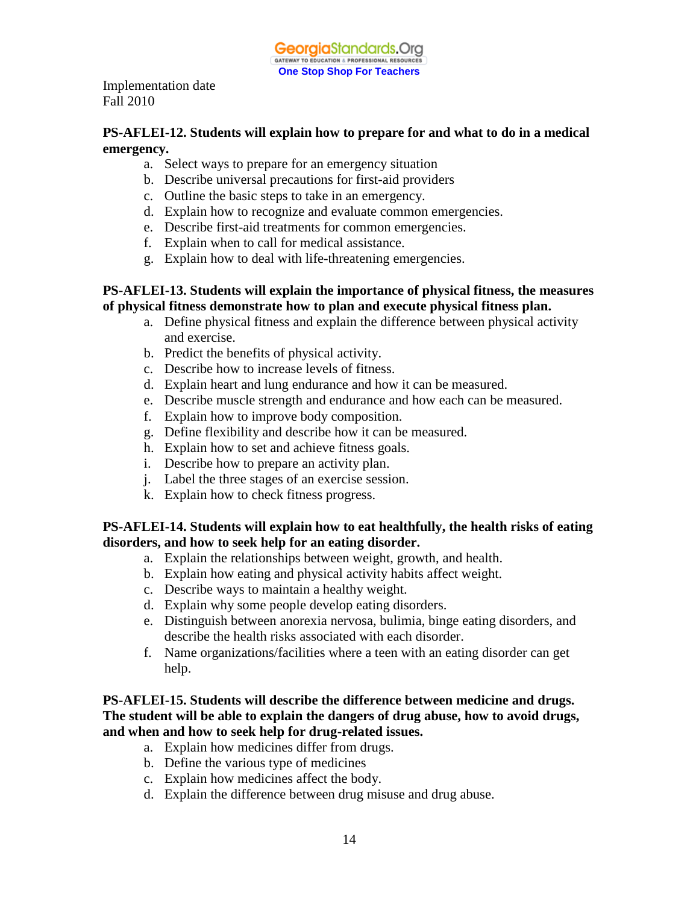#### **PS-AFLEI-12. Students will explain how to prepare for and what to do in a medical emergency.**

- a. Select ways to prepare for an emergency situation
- b. Describe universal precautions for first-aid providers
- c. Outline the basic steps to take in an emergency.
- d. Explain how to recognize and evaluate common emergencies.
- e. Describe first-aid treatments for common emergencies.
- f. Explain when to call for medical assistance.
- g. Explain how to deal with life-threatening emergencies.

#### **PS-AFLEI-13. Students will explain the importance of physical fitness, the measures of physical fitness demonstrate how to plan and execute physical fitness plan.**

- a. Define physical fitness and explain the difference between physical activity and exercise.
- b. Predict the benefits of physical activity.
- c. Describe how to increase levels of fitness.
- d. Explain heart and lung endurance and how it can be measured.
- e. Describe muscle strength and endurance and how each can be measured.
- f. Explain how to improve body composition.
- g. Define flexibility and describe how it can be measured.
- h. Explain how to set and achieve fitness goals.
- i. Describe how to prepare an activity plan.
- j. Label the three stages of an exercise session.
- k. Explain how to check fitness progress.

#### **PS-AFLEI-14. Students will explain how to eat healthfully, the health risks of eating disorders, and how to seek help for an eating disorder.**

- a. Explain the relationships between weight, growth, and health.
- b. Explain how eating and physical activity habits affect weight.
- c. Describe ways to maintain a healthy weight.
- d. Explain why some people develop eating disorders.
- e. Distinguish between anorexia nervosa, bulimia, binge eating disorders, and describe the health risks associated with each disorder.
- f. Name organizations/facilities where a teen with an eating disorder can get help.

#### **PS-AFLEI-15. Students will describe the difference between medicine and drugs. The student will be able to explain the dangers of drug abuse, how to avoid drugs, and when and how to seek help for drug-related issues.**

- a. Explain how medicines differ from drugs.
- b. Define the various type of medicines
- c. Explain how medicines affect the body.
- d. Explain the difference between drug misuse and drug abuse.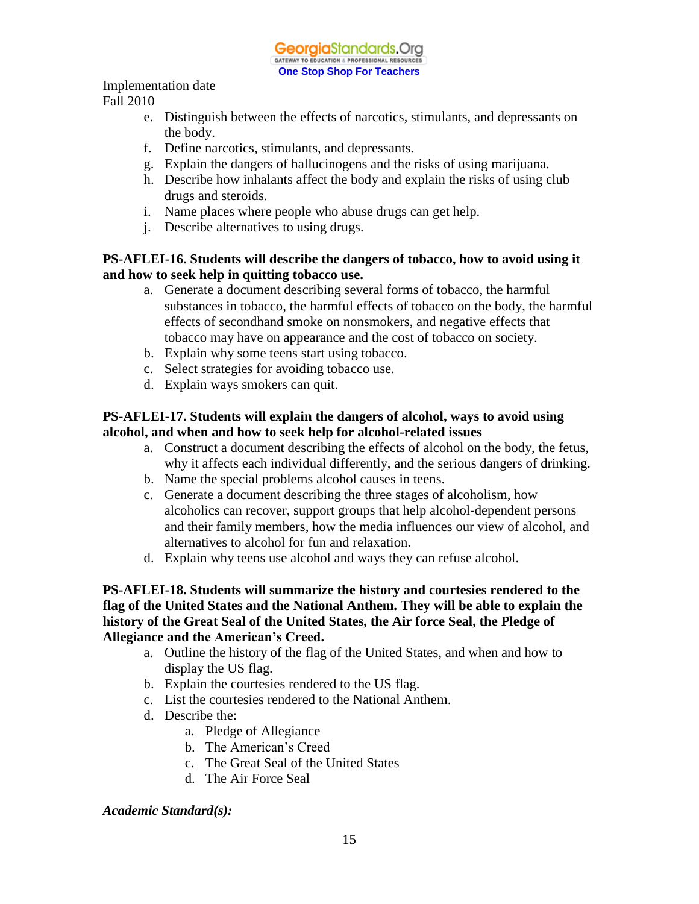- e. Distinguish between the effects of narcotics, stimulants, and depressants on the body.
- f. Define narcotics, stimulants, and depressants.
- g. Explain the dangers of hallucinogens and the risks of using marijuana.
- h. Describe how inhalants affect the body and explain the risks of using club drugs and steroids.
- i. Name places where people who abuse drugs can get help.
- j. Describe alternatives to using drugs.

#### **PS-AFLEI-16. Students will describe the dangers of tobacco, how to avoid using it and how to seek help in quitting tobacco use.**

- a. Generate a document describing several forms of tobacco, the harmful substances in tobacco, the harmful effects of tobacco on the body, the harmful effects of secondhand smoke on nonsmokers, and negative effects that tobacco may have on appearance and the cost of tobacco on society.
- b. Explain why some teens start using tobacco.
- c. Select strategies for avoiding tobacco use.
- d. Explain ways smokers can quit.

#### **PS-AFLEI-17. Students will explain the dangers of alcohol, ways to avoid using alcohol, and when and how to seek help for alcohol-related issues**

- a. Construct a document describing the effects of alcohol on the body, the fetus, why it affects each individual differently, and the serious dangers of drinking.
- b. Name the special problems alcohol causes in teens.
- c. Generate a document describing the three stages of alcoholism, how alcoholics can recover, support groups that help alcohol-dependent persons and their family members, how the media influences our view of alcohol, and alternatives to alcohol for fun and relaxation.
- d. Explain why teens use alcohol and ways they can refuse alcohol.

#### **PS-AFLEI-18. Students will summarize the history and courtesies rendered to the flag of the United States and the National Anthem. They will be able to explain the history of the Great Seal of the United States, the Air force Seal, the Pledge of Allegiance and the American's Creed.**

- a. Outline the history of the flag of the United States, and when and how to display the US flag.
- b. Explain the courtesies rendered to the US flag.
- c. List the courtesies rendered to the National Anthem.
- d. Describe the:
	- a. Pledge of Allegiance
	- b. The American's Creed
	- c. The Great Seal of the United States
	- d. The Air Force Seal

#### *Academic Standard(s):*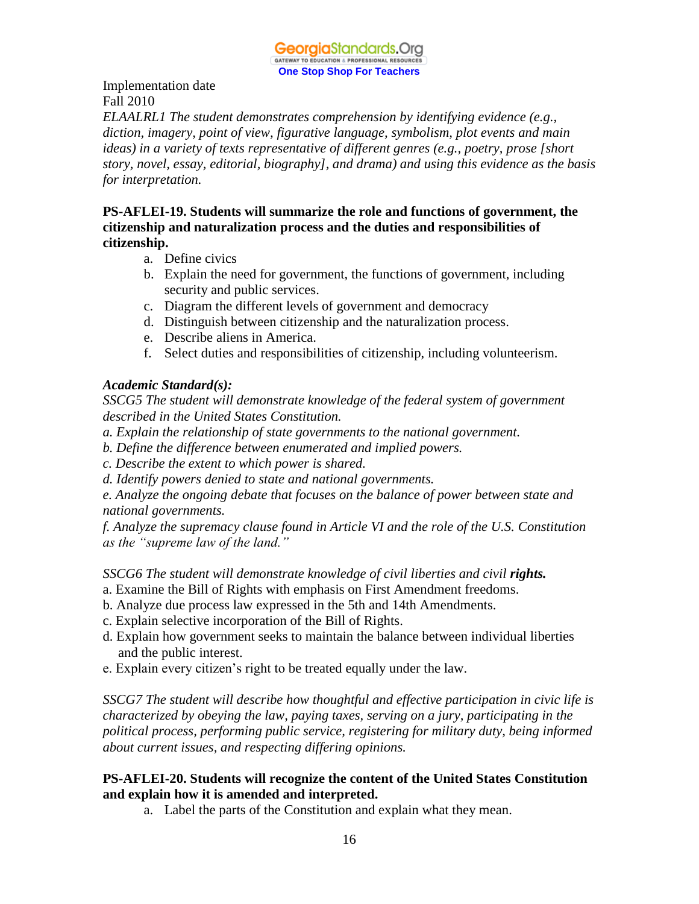

*ELAALRL1 The student demonstrates comprehension by identifying evidence (e.g., diction, imagery, point of view, figurative language, symbolism, plot events and main ideas) in a variety of texts representative of different genres (e.g., poetry, prose [short story, novel, essay, editorial, biography], and drama) and using this evidence as the basis for interpretation.*

#### **PS-AFLEI-19. Students will summarize the role and functions of government, the citizenship and naturalization process and the duties and responsibilities of citizenship.**

- a. Define civics
- b. Explain the need for government, the functions of government, including security and public services.
- c. Diagram the different levels of government and democracy
- d. Distinguish between citizenship and the naturalization process.
- e. Describe aliens in America.
- f. Select duties and responsibilities of citizenship, including volunteerism.

#### *Academic Standard(s):*

*SSCG5 The student will demonstrate knowledge of the federal system of government described in the United States Constitution.* 

- *a. Explain the relationship of state governments to the national government.*
- *b. Define the difference between enumerated and implied powers.*
- *c. Describe the extent to which power is shared.*
- *d. Identify powers denied to state and national governments.*

*e. Analyze the ongoing debate that focuses on the balance of power between state and national governments.* 

*f. Analyze the supremacy clause found in Article VI and the role of the U.S. Constitution as the "supreme law of the land."* 

*SSCG6 The student will demonstrate knowledge of civil liberties and civil rights.* 

- a. Examine the Bill of Rights with emphasis on First Amendment freedoms.
- b. Analyze due process law expressed in the 5th and 14th Amendments.
- c. Explain selective incorporation of the Bill of Rights.
- d. Explain how government seeks to maintain the balance between individual liberties and the public interest.
- e. Explain every citizen's right to be treated equally under the law.

*SSCG7 The student will describe how thoughtful and effective participation in civic life is characterized by obeying the law, paying taxes, serving on a jury, participating in the political process, performing public service, registering for military duty, being informed about current issues, and respecting differing opinions.*

#### **PS-AFLEI-20. Students will recognize the content of the United States Constitution and explain how it is amended and interpreted.**

a. Label the parts of the Constitution and explain what they mean.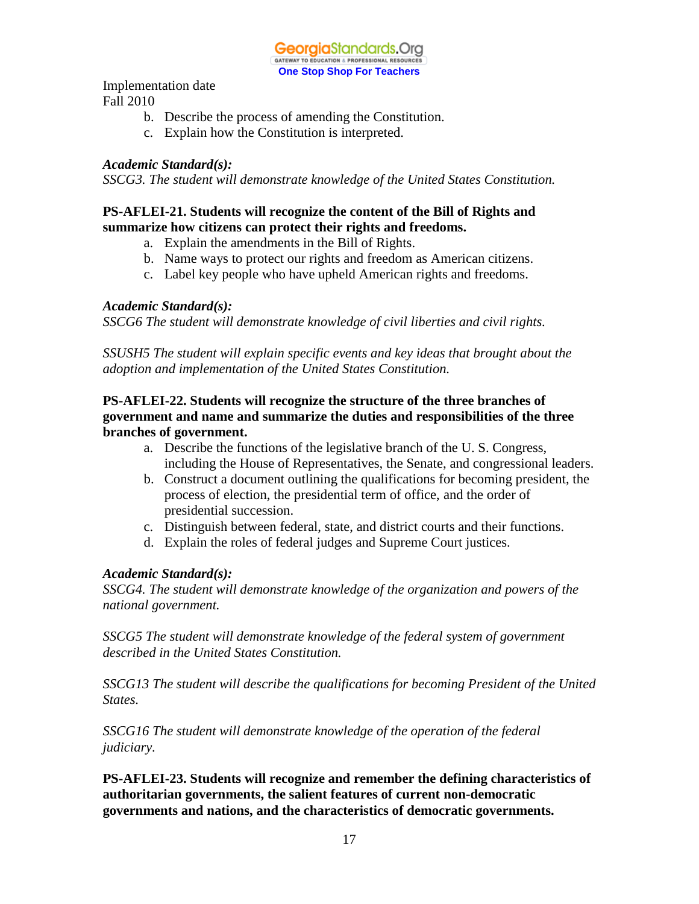- b. Describe the process of amending the Constitution.
- c. Explain how the Constitution is interpreted.

#### *Academic Standard(s):*

*SSCG3. The student will demonstrate knowledge of the United States Constitution.* 

#### **PS-AFLEI-21. Students will recognize the content of the Bill of Rights and summarize how citizens can protect their rights and freedoms.**

- a. Explain the amendments in the Bill of Rights.
- b. Name ways to protect our rights and freedom as American citizens.
- c. Label key people who have upheld American rights and freedoms.

#### *Academic Standard(s):*

*SSCG6 The student will demonstrate knowledge of civil liberties and civil rights.*

*SSUSH5 The student will explain specific events and key ideas that brought about the adoption and implementation of the United States Constitution.*

#### **PS-AFLEI-22. Students will recognize the structure of the three branches of government and name and summarize the duties and responsibilities of the three branches of government.**

- a. Describe the functions of the legislative branch of the U. S. Congress, including the House of Representatives, the Senate, and congressional leaders.
- b. Construct a document outlining the qualifications for becoming president, the process of election, the presidential term of office, and the order of presidential succession.
- c. Distinguish between federal, state, and district courts and their functions.
- d. Explain the roles of federal judges and Supreme Court justices.

#### *Academic Standard(s):*

*SSCG4. The student will demonstrate knowledge of the organization and powers of the national government.* 

*SSCG5 The student will demonstrate knowledge of the federal system of government described in the United States Constitution.*

*SSCG13 The student will describe the qualifications for becoming President of the United States.*

*SSCG16 The student will demonstrate knowledge of the operation of the federal judiciary.*

**PS-AFLEI-23. Students will recognize and remember the defining characteristics of authoritarian governments, the salient features of current non-democratic governments and nations, and the characteristics of democratic governments.**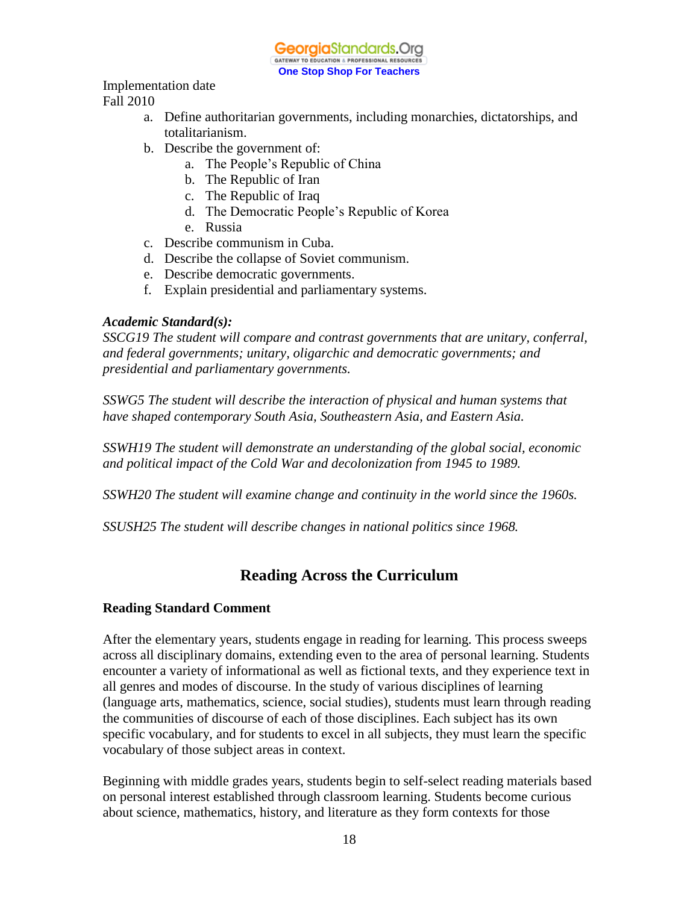

Implementation date

Fall 2010

- a. Define authoritarian governments, including monarchies, dictatorships, and totalitarianism.
- b. Describe the government of:
	- a. The People's Republic of China
	- b. The Republic of Iran
	- c. The Republic of Iraq
	- d. The Democratic People's Republic of Korea
	- e. Russia
- c. Describe communism in Cuba.
- d. Describe the collapse of Soviet communism.
- e. Describe democratic governments.
- f. Explain presidential and parliamentary systems.

#### *Academic Standard(s):*

*SSCG19 The student will compare and contrast governments that are unitary, conferral, and federal governments; unitary, oligarchic and democratic governments; and presidential and parliamentary governments.*

*SSWG5 The student will describe the interaction of physical and human systems that have shaped contemporary South Asia, Southeastern Asia, and Eastern Asia.*

*SSWH19 The student will demonstrate an understanding of the global social, economic and political impact of the Cold War and decolonization from 1945 to 1989.*

*SSWH20 The student will examine change and continuity in the world since the 1960s.*

*SSUSH25 The student will describe changes in national politics since 1968.*

## **Reading Across the Curriculum**

#### **Reading Standard Comment**

After the elementary years, students engage in reading for learning. This process sweeps across all disciplinary domains, extending even to the area of personal learning. Students encounter a variety of informational as well as fictional texts, and they experience text in all genres and modes of discourse. In the study of various disciplines of learning (language arts, mathematics, science, social studies), students must learn through reading the communities of discourse of each of those disciplines. Each subject has its own specific vocabulary, and for students to excel in all subjects, they must learn the specific vocabulary of those subject areas in context.

Beginning with middle grades years, students begin to self-select reading materials based on personal interest established through classroom learning. Students become curious about science, mathematics, history, and literature as they form contexts for those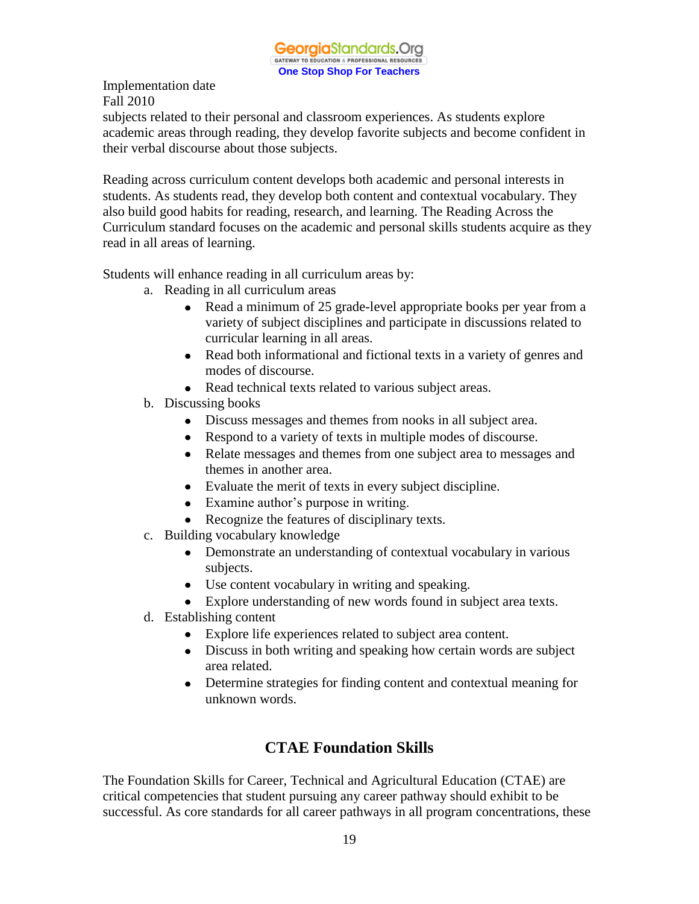subjects related to their personal and classroom experiences. As students explore academic areas through reading, they develop favorite subjects and become confident in their verbal discourse about those subjects.

Reading across curriculum content develops both academic and personal interests in students. As students read, they develop both content and contextual vocabulary. They also build good habits for reading, research, and learning. The Reading Across the Curriculum standard focuses on the academic and personal skills students acquire as they read in all areas of learning.

Students will enhance reading in all curriculum areas by:

- a. Reading in all curriculum areas
	- Read a minimum of 25 grade-level appropriate books per year from a variety of subject disciplines and participate in discussions related to curricular learning in all areas.
	- Read both informational and fictional texts in a variety of genres and modes of discourse.
	- Read technical texts related to various subject areas.
- b. Discussing books
	- Discuss messages and themes from nooks in all subject area.
	- Respond to a variety of texts in multiple modes of discourse.
	- Relate messages and themes from one subject area to messages and themes in another area.
	- Evaluate the merit of texts in every subject discipline.
	- Examine author's purpose in writing.
	- Recognize the features of disciplinary texts.
- c. Building vocabulary knowledge
	- Demonstrate an understanding of contextual vocabulary in various subjects.
	- Use content vocabulary in writing and speaking.
	- Explore understanding of new words found in subject area texts.
- d. Establishing content
	- Explore life experiences related to subject area content.
	- Discuss in both writing and speaking how certain words are subject area related.
	- Determine strategies for finding content and contextual meaning for unknown words.

## **CTAE Foundation Skills**

The Foundation Skills for Career, Technical and Agricultural Education (CTAE) are critical competencies that student pursuing any career pathway should exhibit to be successful. As core standards for all career pathways in all program concentrations, these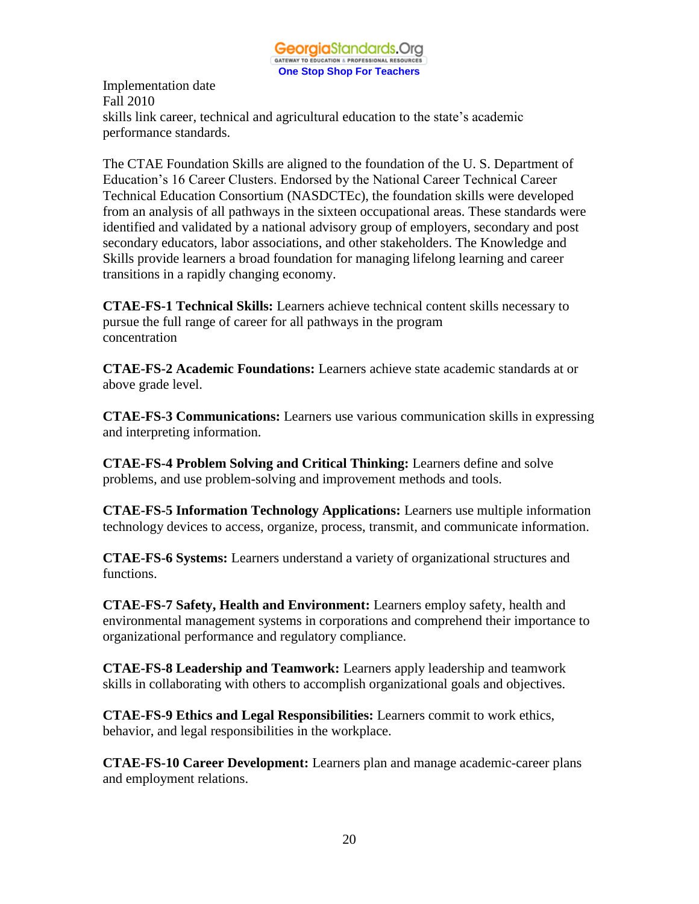Implementation date Fall 2010 skills link career, technical and agricultural education to the state's academic performance standards.

The CTAE Foundation Skills are aligned to the foundation of the U. S. Department of Education's 16 Career Clusters. Endorsed by the National Career Technical Career Technical Education Consortium (NASDCTEc), the foundation skills were developed from an analysis of all pathways in the sixteen occupational areas. These standards were identified and validated by a national advisory group of employers, secondary and post secondary educators, labor associations, and other stakeholders. The Knowledge and Skills provide learners a broad foundation for managing lifelong learning and career transitions in a rapidly changing economy.

**CTAE-FS-1 Technical Skills:** Learners achieve technical content skills necessary to pursue the full range of career for all pathways in the program concentration

**CTAE-FS-2 Academic Foundations:** Learners achieve state academic standards at or above grade level.

**CTAE-FS-3 Communications:** Learners use various communication skills in expressing and interpreting information.

**CTAE-FS-4 Problem Solving and Critical Thinking:** Learners define and solve problems, and use problem-solving and improvement methods and tools.

**CTAE-FS-5 Information Technology Applications:** Learners use multiple information technology devices to access, organize, process, transmit, and communicate information.

**CTAE-FS-6 Systems:** Learners understand a variety of organizational structures and functions.

**CTAE-FS-7 Safety, Health and Environment:** Learners employ safety, health and environmental management systems in corporations and comprehend their importance to organizational performance and regulatory compliance.

**CTAE-FS-8 Leadership and Teamwork:** Learners apply leadership and teamwork skills in collaborating with others to accomplish organizational goals and objectives.

**CTAE-FS-9 Ethics and Legal Responsibilities:** Learners commit to work ethics, behavior, and legal responsibilities in the workplace.

**CTAE-FS-10 Career Development:** Learners plan and manage academic-career plans and employment relations.